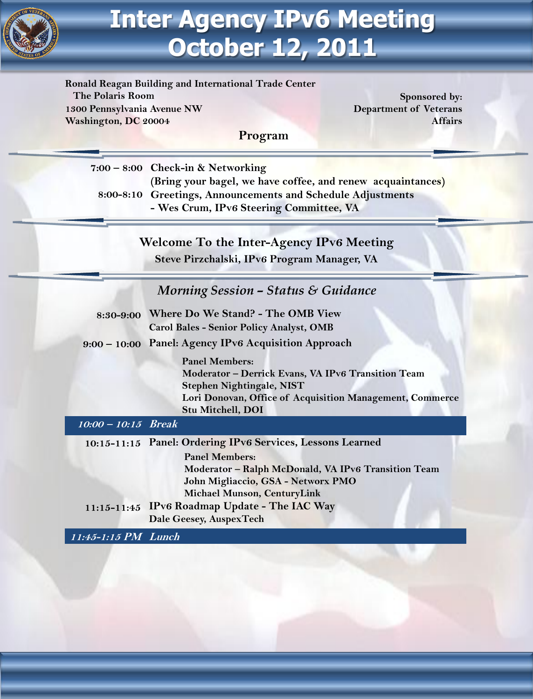

# **Inter Agency IPv6 Meeting October 12, 2011**

**Ronald Reagan Building and International Trade Center The Polaris Room Sponsored by: Sponsored by: 1300 Pennsylvania Avenue NW Washington, DC 20004**

**Department of Veterans Affairs**

**7:00 – 8:00 Check-in & Networking (Bring your bagel, we have coffee, and renew acquaintances) 8:00-8:10 Greetings, Announcements and Schedule Adjustments - Wes Crum, IPv6 Steering Committee, VA**

**Program**

**Welcome To the Inter-Agency IPv6 Meeting Steve Pirzchalski, IPv6 Program Manager, VA**

### *Morning Session – Status & Guidance*

| 8:30-9:00 Where Do We Stand? - The OMB View     |
|-------------------------------------------------|
| <b>Carol Bales - Senior Policy Analyst, OMB</b> |

#### **9:00 – 10:00 Panel: Agency IPv6 Acquisition Approach**

**Panel Members: Moderator – Derrick Evans, VA IPv6 Transition Team Stephen Nightingale, NIST Lori Donovan, Office of Acquisition Management, Commerce Stu Mitchell, DOI**

**10:00 – 10:15 Break**

**10:15-11:15 Panel: Ordering IPv6 Services, Lessons Learned Panel Members: Moderator – Ralph McDonald, VA IPv6 Transition Team John Migliaccio, GSA - Networx PMO Michael Munson, CenturyLink 11:15-11:45 IPv6 Roadmap Update - The IAC Way Dale Geesey, AuspexTech**

**11:45-1:15 PM Lunch**